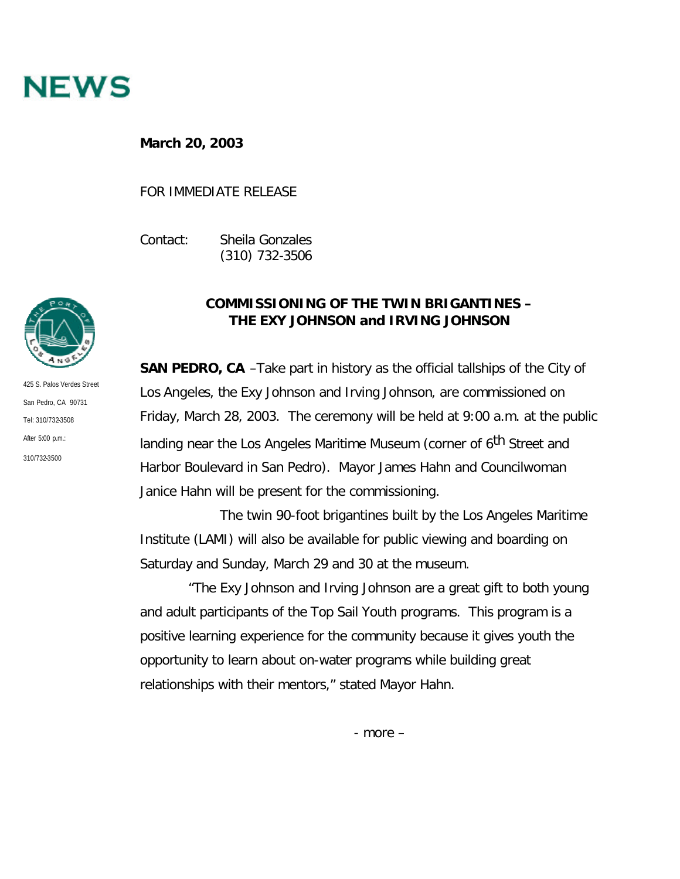

**March 20, 2003**

FOR IMMEDIATE RELEASE

Contact: Sheila Gonzales (310) 732-3506



425 S. Palos Verdes Street San Pedro, CA 90731 Tel: 310/732-3508 After 5:00 p.m.: 310/732-3500

## **COMMISSIONING OF THE TWIN BRIGANTINES – THE** *EXY JOHNSON* **and** *IRVING JOHNSON*

**SAN PEDRO, CA** –Take part in history as the official tallships of the City of Los Angeles, the *Exy Johnson* and *Irving Johnson*, are commissioned on Friday, March 28, 2003. The ceremony will be held at 9:00 a.m. at the public landing near the Los Angeles Maritime Museum (corner of 6<sup>th</sup> Street and Harbor Boulevard in San Pedro). Mayor James Hahn and Councilwoman Janice Hahn will be present for the commissioning.

The twin 90-foot brigantines built by the Los Angeles Maritime Institute (LAMI) will also be available for public viewing and boarding on Saturday and Sunday, March 29 and 30 at the museum.

 "The *Exy Johnson* and *Irving Johnson* are a great gift to both young and adult participants of the Top Sail Youth programs. This program is a positive learning experience for the community because it gives youth the opportunity to learn about on-water programs while building great relationships with their mentors," stated Mayor Hahn.

- more –